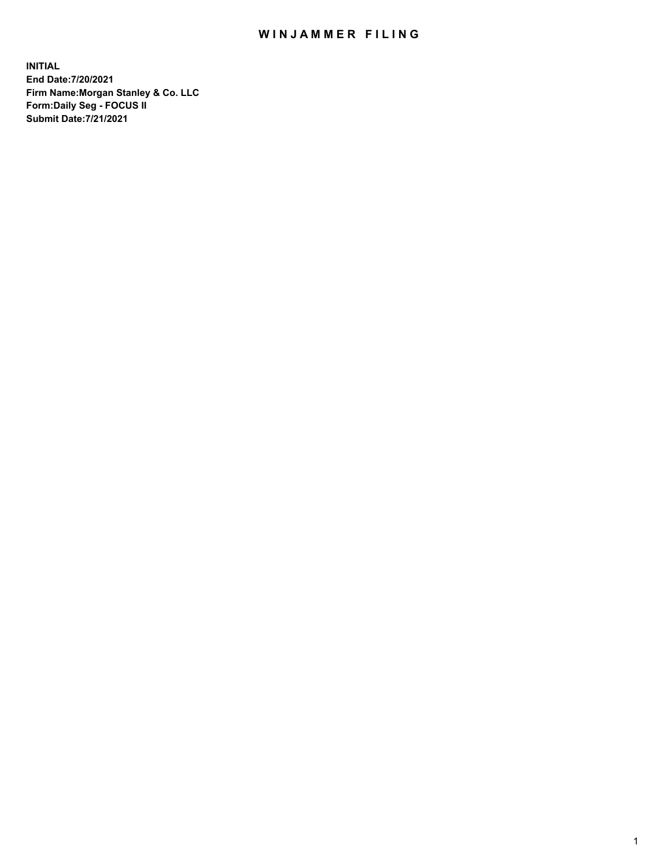## WIN JAMMER FILING

**INITIAL End Date:7/20/2021 Firm Name:Morgan Stanley & Co. LLC Form:Daily Seg - FOCUS II Submit Date:7/21/2021**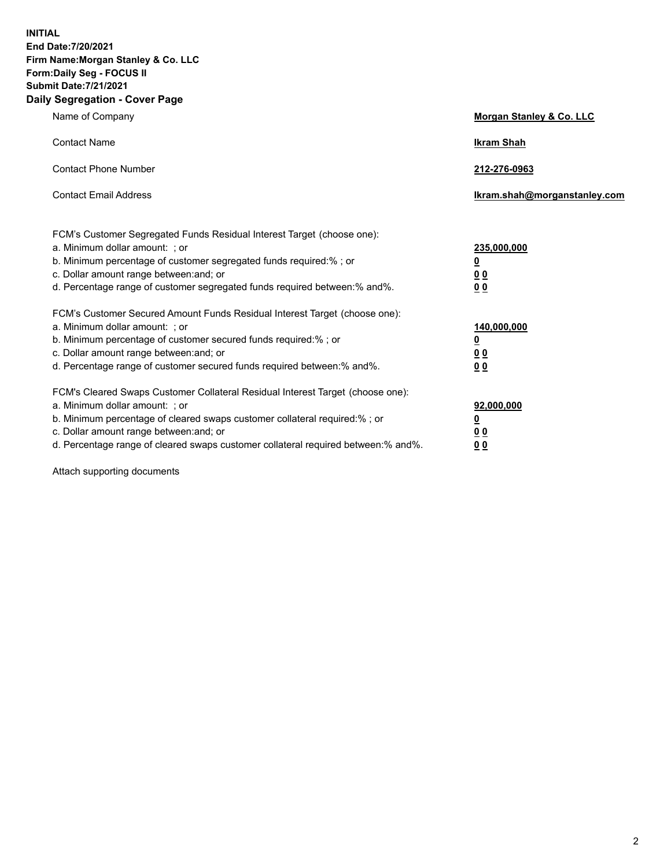**INITIAL End Date:7/20/2021 Firm Name:Morgan Stanley & Co. LLC Form:Daily Seg - FOCUS II Submit Date:7/21/2021 Daily Segregation - Cover Page**

| Name of Company                                                                                                                                                                                                                                                                                                                | <b>Morgan Stanley &amp; Co. LLC</b>                        |
|--------------------------------------------------------------------------------------------------------------------------------------------------------------------------------------------------------------------------------------------------------------------------------------------------------------------------------|------------------------------------------------------------|
| <b>Contact Name</b>                                                                                                                                                                                                                                                                                                            | <b>Ikram Shah</b>                                          |
| <b>Contact Phone Number</b>                                                                                                                                                                                                                                                                                                    | 212-276-0963                                               |
| <b>Contact Email Address</b>                                                                                                                                                                                                                                                                                                   | lkram.shah@morganstanley.com                               |
| FCM's Customer Segregated Funds Residual Interest Target (choose one):<br>a. Minimum dollar amount: ; or<br>b. Minimum percentage of customer segregated funds required:%; or<br>c. Dollar amount range between: and; or<br>d. Percentage range of customer segregated funds required between: % and %.                        | 235,000,000<br><u>0</u><br><u>00</u><br>0 <sup>0</sup>     |
| FCM's Customer Secured Amount Funds Residual Interest Target (choose one):<br>a. Minimum dollar amount: ; or<br>b. Minimum percentage of customer secured funds required:%; or<br>c. Dollar amount range between: and; or<br>d. Percentage range of customer secured funds required between: % and %.                          | 140,000,000<br><u>0</u><br><u>00</u><br>0 <sup>0</sup>     |
| FCM's Cleared Swaps Customer Collateral Residual Interest Target (choose one):<br>a. Minimum dollar amount: ; or<br>b. Minimum percentage of cleared swaps customer collateral required:% ; or<br>c. Dollar amount range between: and; or<br>d. Percentage range of cleared swaps customer collateral required between:% and%. | 92,000,000<br><u>0</u><br>0 <sup>0</sup><br>0 <sub>0</sub> |

Attach supporting documents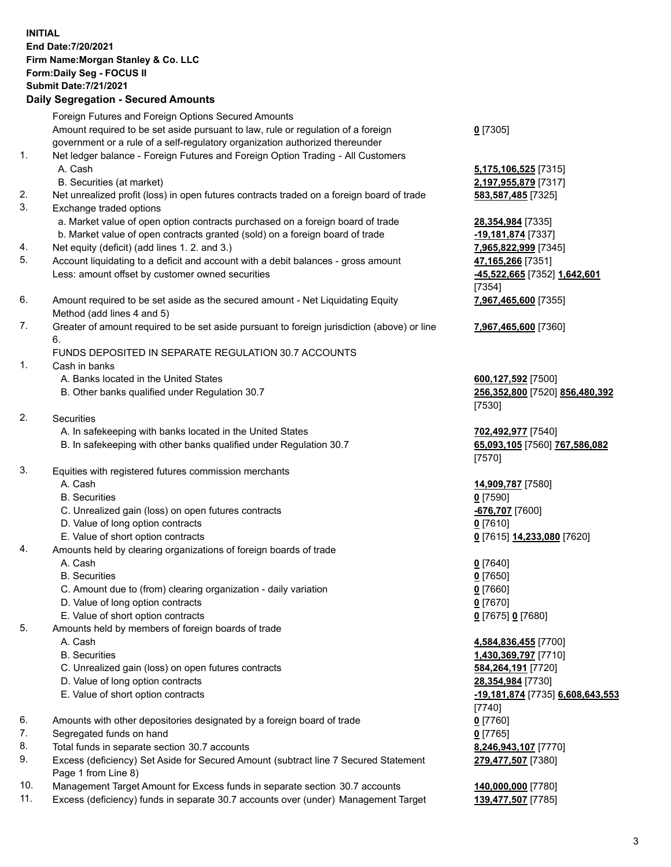## **INITIAL End Date:7/20/2021 Firm Name:Morgan Stanley & Co. LLC Form:Daily Seg - FOCUS II Submit Date:7/21/2021**

## **Daily Segregation - Secured Amounts**

Foreign Futures and Foreign Options Secured Amounts Amount required to be set aside pursuant to law, rule or regulation of a foreign government or a rule of a self-regulatory organization authorized thereunder 1. Net ledger balance - Foreign Futures and Foreign Option Trading - All Customers A. Cash **5,175,106,525** [7315] B. Securities (at market) **2,197,955,879** [7317] 2. Net unrealized profit (loss) in open futures contracts traded on a foreign board of trade **583,587,485** [7325] 3. Exchange traded options a. Market value of open option contracts purchased on a foreign board of trade **28,354,984** [7335] b. Market value of open contracts granted (sold) on a foreign board of trade **-19,181,874** [7337] 4. Net equity (deficit) (add lines 1. 2. and 3.) **7,965,822,999** [7345] 5. Account liquidating to a deficit and account with a debit balances - gross amount **47,165,266** [7351] Less: amount offset by customer owned securities **-45,522,665** [7352] **1,642,601** 6. Amount required to be set aside as the secured amount - Net Liquidating Equity Method (add lines 4 and 5) 7. Greater of amount required to be set aside pursuant to foreign jurisdiction (above) or line 6. FUNDS DEPOSITED IN SEPARATE REGULATION 30.7 ACCOUNTS 1. Cash in banks A. Banks located in the United States **600,127,592** [7500] B. Other banks qualified under Regulation 30.7 **256,352,800** [7520] **856,480,392** 2. Securities A. In safekeeping with banks located in the United States **702,492,977** [7540] B. In safekeeping with other banks qualified under Regulation 30.7 **65,093,105** [7560] **767,586,082** 3. Equities with registered futures commission merchants A. Cash **14,909,787** [7580] B. Securities **0** [7590] C. Unrealized gain (loss) on open futures contracts **-676,707** [7600] D. Value of long option contracts **0** [7610] E. Value of short option contracts **0** [7615] **14,233,080** [7620] 4. Amounts held by clearing organizations of foreign boards of trade A. Cash **0** [7640] B. Securities **0** [7650] C. Amount due to (from) clearing organization - daily variation **0** [7660] D. Value of long option contracts **0** [7670] E. Value of short option contracts **0** [7675] **0** [7680] 5. Amounts held by members of foreign boards of trade A. Cash **4,584,836,455** [7700] B. Securities **1,430,369,797** [7710] C. Unrealized gain (loss) on open futures contracts **584,264,191** [7720] D. Value of long option contracts **28,354,984** [7730] E. Value of short option contracts **-19,181,874** [7735] **6,608,643,553**

- 6. Amounts with other depositories designated by a foreign board of trade **0** [7760]
- 7. Segregated funds on hand **0** [7765]
- 8. Total funds in separate section 30.7 accounts **8,246,943,107** [7770]
- 9. Excess (deficiency) Set Aside for Secured Amount (subtract line 7 Secured Statement Page 1 from Line 8)
- 10. Management Target Amount for Excess funds in separate section 30.7 accounts **140,000,000** [7780]
- 11. Excess (deficiency) funds in separate 30.7 accounts over (under) Management Target **139,477,507** [7785]

**0** [7305]

[7354] **7,967,465,600** [7355]

**7,967,465,600** [7360]

[7530]

[7570]

[7740] **279,477,507** [7380]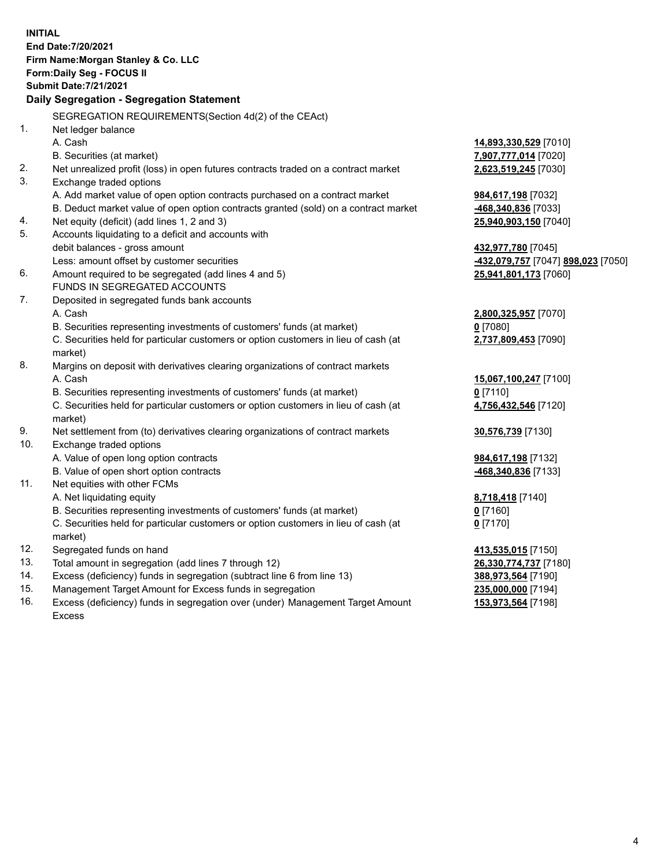**INITIAL End Date:7/20/2021 Firm Name:Morgan Stanley & Co. LLC Form:Daily Seg - FOCUS II Submit Date:7/21/2021 Daily Segregation - Segregation Statement** SEGREGATION REQUIREMENTS(Section 4d(2) of the CEAct) 1. Net ledger balance A. Cash **14,893,330,529** [7010] B. Securities (at market) **7,907,777,014** [7020] 2. Net unrealized profit (loss) in open futures contracts traded on a contract market **2,623,519,245** [7030] 3. Exchange traded options A. Add market value of open option contracts purchased on a contract market **984,617,198** [7032] B. Deduct market value of open option contracts granted (sold) on a contract market **-468,340,836** [7033] 4. Net equity (deficit) (add lines 1, 2 and 3) **25,940,903,150** [7040] 5. Accounts liquidating to a deficit and accounts with debit balances - gross amount **432,977,780** [7045] Less: amount offset by customer securities **-432,079,757** [7047] **898,023** [7050] 6. Amount required to be segregated (add lines 4 and 5) **25,941,801,173** [7060] FUNDS IN SEGREGATED ACCOUNTS 7. Deposited in segregated funds bank accounts A. Cash **2,800,325,957** [7070] B. Securities representing investments of customers' funds (at market) **0** [7080] C. Securities held for particular customers or option customers in lieu of cash (at market) **2,737,809,453** [7090] 8. Margins on deposit with derivatives clearing organizations of contract markets A. Cash **15,067,100,247** [7100] B. Securities representing investments of customers' funds (at market) **0** [7110] C. Securities held for particular customers or option customers in lieu of cash (at market) **4,756,432,546** [7120] 9. Net settlement from (to) derivatives clearing organizations of contract markets **30,576,739** [7130] 10. Exchange traded options A. Value of open long option contracts **984,617,198** [7132] B. Value of open short option contracts **-468,340,836** [7133] 11. Net equities with other FCMs A. Net liquidating equity **8,718,418** [7140] B. Securities representing investments of customers' funds (at market) **0** [7160] C. Securities held for particular customers or option customers in lieu of cash (at market) **0** [7170] 12. Segregated funds on hand **413,535,015** [7150] 13. Total amount in segregation (add lines 7 through 12) **26,330,774,737** [7180] 14. Excess (deficiency) funds in segregation (subtract line 6 from line 13) **388,973,564** [7190] 15. Management Target Amount for Excess funds in segregation **235,000,000** [7194] 16. Excess (deficiency) funds in segregation over (under) Management Target Amount **153,973,564** [7198]

Excess